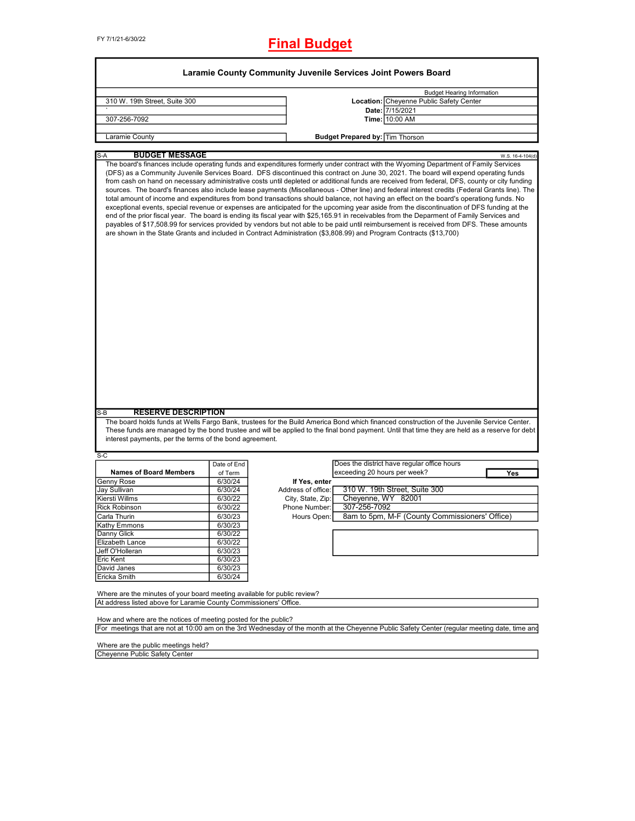FY 7/1/21-6/30/22

## **Final Budget**

|                                                                                                                                                                                                                                                                                                                                                                                                                                                                                                                                                                                                                                                                                                                                                                                                                                                                                                                                                                                                                                                                                                                                                                                                                                                                                            |                                                                          | Laramie County Community Juvenile Services Joint Powers Board |                                        |                                                |                  |
|--------------------------------------------------------------------------------------------------------------------------------------------------------------------------------------------------------------------------------------------------------------------------------------------------------------------------------------------------------------------------------------------------------------------------------------------------------------------------------------------------------------------------------------------------------------------------------------------------------------------------------------------------------------------------------------------------------------------------------------------------------------------------------------------------------------------------------------------------------------------------------------------------------------------------------------------------------------------------------------------------------------------------------------------------------------------------------------------------------------------------------------------------------------------------------------------------------------------------------------------------------------------------------------------|--------------------------------------------------------------------------|---------------------------------------------------------------|----------------------------------------|------------------------------------------------|------------------|
|                                                                                                                                                                                                                                                                                                                                                                                                                                                                                                                                                                                                                                                                                                                                                                                                                                                                                                                                                                                                                                                                                                                                                                                                                                                                                            |                                                                          |                                                               |                                        |                                                |                  |
|                                                                                                                                                                                                                                                                                                                                                                                                                                                                                                                                                                                                                                                                                                                                                                                                                                                                                                                                                                                                                                                                                                                                                                                                                                                                                            |                                                                          |                                                               |                                        | <b>Budget Hearing Information</b>              |                  |
| 310 W. 19th Street, Suite 300                                                                                                                                                                                                                                                                                                                                                                                                                                                                                                                                                                                                                                                                                                                                                                                                                                                                                                                                                                                                                                                                                                                                                                                                                                                              |                                                                          |                                                               |                                        | Location: Cheyenne Public Safety Center        |                  |
| 307-256-7092                                                                                                                                                                                                                                                                                                                                                                                                                                                                                                                                                                                                                                                                                                                                                                                                                                                                                                                                                                                                                                                                                                                                                                                                                                                                               |                                                                          |                                                               |                                        | Date: 7/15/2021<br>Time: 10:00 AM              |                  |
|                                                                                                                                                                                                                                                                                                                                                                                                                                                                                                                                                                                                                                                                                                                                                                                                                                                                                                                                                                                                                                                                                                                                                                                                                                                                                            |                                                                          |                                                               |                                        |                                                |                  |
| Laramie County                                                                                                                                                                                                                                                                                                                                                                                                                                                                                                                                                                                                                                                                                                                                                                                                                                                                                                                                                                                                                                                                                                                                                                                                                                                                             |                                                                          |                                                               | <b>Budget Prepared by: Tim Thorson</b> |                                                |                  |
| <b>BUDGET MESSAGE</b><br>$S-A$                                                                                                                                                                                                                                                                                                                                                                                                                                                                                                                                                                                                                                                                                                                                                                                                                                                                                                                                                                                                                                                                                                                                                                                                                                                             |                                                                          |                                                               |                                        |                                                | W.S. 16-4-104(d) |
| The board's finances include operating funds and expenditures formerly under contract with the Wyoming Department of Family Services<br>(DFS) as a Community Juvenile Services Board. DFS discontinued this contract on June 30, 2021. The board will expend operating funds<br>from cash on hand on necessary administrative costs until depleted or additional funds are received from federal, DFS, county or city funding<br>sources. The board's finances also include lease payments (Miscellaneous - Other line) and federal interest credits (Federal Grants line). The<br>total amount of income and expenditures from bond transactions should balance, not having an effect on the board's operationg funds. No<br>exceptional events, special revenue or expenses are anticipated for the upcoming year aside from the discontinuation of DFS funding at the<br>end of the prior fiscal year. The board is ending its fiscal year with \$25,165.91 in receivables from the Deparment of Family Services and<br>payables of \$17,508.99 for services provided by vendors but not able to be paid until reimbursement is received from DFS. These amounts<br>are shown in the State Grants and included in Contract Administration (\$3,808.99) and Program Contracts (\$13,700) |                                                                          |                                                               |                                        |                                                |                  |
|                                                                                                                                                                                                                                                                                                                                                                                                                                                                                                                                                                                                                                                                                                                                                                                                                                                                                                                                                                                                                                                                                                                                                                                                                                                                                            |                                                                          |                                                               |                                        |                                                |                  |
| <b>RESERVE DESCRIPTION</b><br>$S-B$                                                                                                                                                                                                                                                                                                                                                                                                                                                                                                                                                                                                                                                                                                                                                                                                                                                                                                                                                                                                                                                                                                                                                                                                                                                        |                                                                          |                                                               |                                        |                                                |                  |
| The board holds funds at Wells Fargo Bank, trustees for the Build America Bond which financed construction of the Juvenile Service Center.                                                                                                                                                                                                                                                                                                                                                                                                                                                                                                                                                                                                                                                                                                                                                                                                                                                                                                                                                                                                                                                                                                                                                 |                                                                          |                                                               |                                        |                                                |                  |
| These funds are managed by the bond trustee and will be applied to the final bond payment. Until that time they are held as a reserve for debt                                                                                                                                                                                                                                                                                                                                                                                                                                                                                                                                                                                                                                                                                                                                                                                                                                                                                                                                                                                                                                                                                                                                             |                                                                          |                                                               |                                        |                                                |                  |
| interest payments, per the terms of the bond agreement.                                                                                                                                                                                                                                                                                                                                                                                                                                                                                                                                                                                                                                                                                                                                                                                                                                                                                                                                                                                                                                                                                                                                                                                                                                    |                                                                          |                                                               |                                        |                                                |                  |
|                                                                                                                                                                                                                                                                                                                                                                                                                                                                                                                                                                                                                                                                                                                                                                                                                                                                                                                                                                                                                                                                                                                                                                                                                                                                                            |                                                                          |                                                               |                                        |                                                |                  |
| $S-C$                                                                                                                                                                                                                                                                                                                                                                                                                                                                                                                                                                                                                                                                                                                                                                                                                                                                                                                                                                                                                                                                                                                                                                                                                                                                                      |                                                                          |                                                               |                                        |                                                |                  |
|                                                                                                                                                                                                                                                                                                                                                                                                                                                                                                                                                                                                                                                                                                                                                                                                                                                                                                                                                                                                                                                                                                                                                                                                                                                                                            | Date of End                                                              |                                                               |                                        | Does the district have regular office hours    |                  |
| <b>Names of Board Members</b>                                                                                                                                                                                                                                                                                                                                                                                                                                                                                                                                                                                                                                                                                                                                                                                                                                                                                                                                                                                                                                                                                                                                                                                                                                                              | of Term                                                                  |                                                               | exceeding 20 hours per week?           |                                                | Yes              |
| Genny Rose                                                                                                                                                                                                                                                                                                                                                                                                                                                                                                                                                                                                                                                                                                                                                                                                                                                                                                                                                                                                                                                                                                                                                                                                                                                                                 | 6/30/24                                                                  | If Yes, enter                                                 |                                        |                                                |                  |
| Jay Sullivan                                                                                                                                                                                                                                                                                                                                                                                                                                                                                                                                                                                                                                                                                                                                                                                                                                                                                                                                                                                                                                                                                                                                                                                                                                                                               | 6/30/24                                                                  | Address of office:                                            |                                        | 310 W. 19th Street, Suite 300                  |                  |
| <b>Kiersti Willms</b>                                                                                                                                                                                                                                                                                                                                                                                                                                                                                                                                                                                                                                                                                                                                                                                                                                                                                                                                                                                                                                                                                                                                                                                                                                                                      | 6/30/22                                                                  | City, State, Zip:                                             | Cheyenne, WY 82001                     |                                                |                  |
| <b>Rick Robinson</b>                                                                                                                                                                                                                                                                                                                                                                                                                                                                                                                                                                                                                                                                                                                                                                                                                                                                                                                                                                                                                                                                                                                                                                                                                                                                       | 6/30/22                                                                  | Phone Number:                                                 | 307-256-7092                           |                                                |                  |
| Carla Thurin                                                                                                                                                                                                                                                                                                                                                                                                                                                                                                                                                                                                                                                                                                                                                                                                                                                                                                                                                                                                                                                                                                                                                                                                                                                                               | 6/30/23                                                                  | Hours Open:                                                   |                                        | 8am to 5pm, M-F (County Commissioners' Office) |                  |
| Kathy Emmons                                                                                                                                                                                                                                                                                                                                                                                                                                                                                                                                                                                                                                                                                                                                                                                                                                                                                                                                                                                                                                                                                                                                                                                                                                                                               | 6/30/23                                                                  |                                                               |                                        |                                                |                  |
| Danny Glick                                                                                                                                                                                                                                                                                                                                                                                                                                                                                                                                                                                                                                                                                                                                                                                                                                                                                                                                                                                                                                                                                                                                                                                                                                                                                | 6/30/22                                                                  |                                                               |                                        |                                                |                  |
| Elizabeth Lance                                                                                                                                                                                                                                                                                                                                                                                                                                                                                                                                                                                                                                                                                                                                                                                                                                                                                                                                                                                                                                                                                                                                                                                                                                                                            | 6/30/22                                                                  |                                                               |                                        |                                                |                  |
| Jeff O'Holleran                                                                                                                                                                                                                                                                                                                                                                                                                                                                                                                                                                                                                                                                                                                                                                                                                                                                                                                                                                                                                                                                                                                                                                                                                                                                            | 6/30/23                                                                  |                                                               |                                        |                                                |                  |
| Eric Kent                                                                                                                                                                                                                                                                                                                                                                                                                                                                                                                                                                                                                                                                                                                                                                                                                                                                                                                                                                                                                                                                                                                                                                                                                                                                                  | 6/30/23                                                                  |                                                               |                                        |                                                |                  |
| David Janes                                                                                                                                                                                                                                                                                                                                                                                                                                                                                                                                                                                                                                                                                                                                                                                                                                                                                                                                                                                                                                                                                                                                                                                                                                                                                | 6/30/23                                                                  |                                                               |                                        |                                                |                  |
| Ericka Smith                                                                                                                                                                                                                                                                                                                                                                                                                                                                                                                                                                                                                                                                                                                                                                                                                                                                                                                                                                                                                                                                                                                                                                                                                                                                               | 6/30/24                                                                  |                                                               |                                        |                                                |                  |
|                                                                                                                                                                                                                                                                                                                                                                                                                                                                                                                                                                                                                                                                                                                                                                                                                                                                                                                                                                                                                                                                                                                                                                                                                                                                                            |                                                                          |                                                               |                                        |                                                |                  |
|                                                                                                                                                                                                                                                                                                                                                                                                                                                                                                                                                                                                                                                                                                                                                                                                                                                                                                                                                                                                                                                                                                                                                                                                                                                                                            | Where are the minutes of your board meeting available for public review? |                                                               |                                        |                                                |                  |
| At address listed above for Laramie County Commissioners' Office.                                                                                                                                                                                                                                                                                                                                                                                                                                                                                                                                                                                                                                                                                                                                                                                                                                                                                                                                                                                                                                                                                                                                                                                                                          |                                                                          |                                                               |                                        |                                                |                  |
|                                                                                                                                                                                                                                                                                                                                                                                                                                                                                                                                                                                                                                                                                                                                                                                                                                                                                                                                                                                                                                                                                                                                                                                                                                                                                            |                                                                          |                                                               |                                        |                                                |                  |
| How and where are the notices of meeting posted for the public?                                                                                                                                                                                                                                                                                                                                                                                                                                                                                                                                                                                                                                                                                                                                                                                                                                                                                                                                                                                                                                                                                                                                                                                                                            |                                                                          |                                                               |                                        |                                                |                  |
|                                                                                                                                                                                                                                                                                                                                                                                                                                                                                                                                                                                                                                                                                                                                                                                                                                                                                                                                                                                                                                                                                                                                                                                                                                                                                            |                                                                          |                                                               |                                        |                                                |                  |
| For meetings that are not at 10:00 am on the 3rd Wednesday of the month at the Cheyenne Public Safety Center (regular meeting date, time and                                                                                                                                                                                                                                                                                                                                                                                                                                                                                                                                                                                                                                                                                                                                                                                                                                                                                                                                                                                                                                                                                                                                               |                                                                          |                                                               |                                        |                                                |                  |

Ξ

Cheyenne Public Safety Center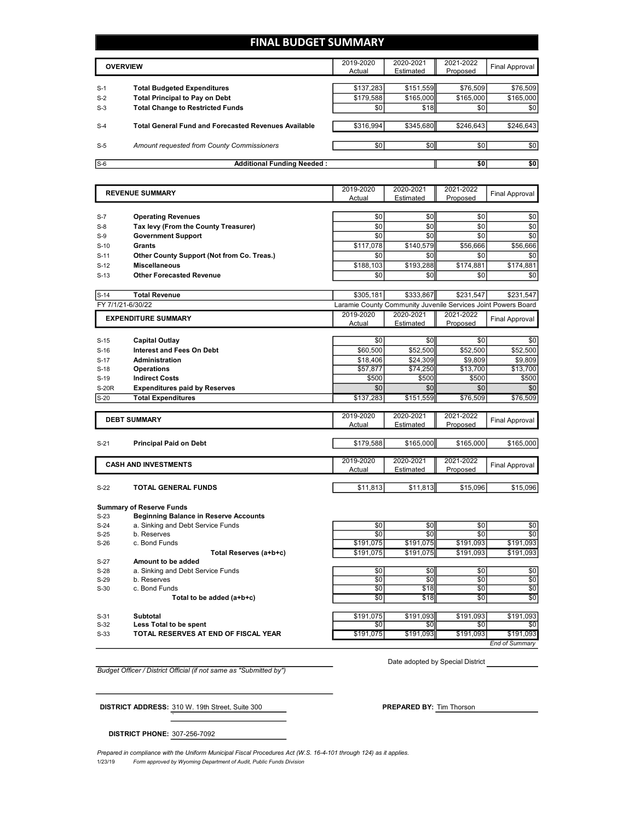### **FINAL BUDGET SUMMARY**

|       | <b>OVERVIEW</b>                                             | 2019-2020<br>Actual | 2020-2021<br>Estimated | 2021-2022<br>Proposed | <b>Final Approval</b> |
|-------|-------------------------------------------------------------|---------------------|------------------------|-----------------------|-----------------------|
| $S-1$ | <b>Total Budgeted Expenditures</b>                          | \$137,283           | \$151.559              | \$76,509              | \$76,509              |
| $S-2$ | <b>Total Principal to Pay on Debt</b>                       | \$179,588           | \$165,000              | \$165,000             | \$165,000             |
| $S-3$ | <b>Total Change to Restricted Funds</b>                     | \$0                 | \$18                   | \$0                   | \$0                   |
| $S-4$ | <b>Total General Fund and Forecasted Revenues Available</b> | \$316,994           | \$345,680              | \$246,643             | \$246,643             |
| $S-5$ | Amount requested from County Commissioners                  | \$0                 | \$0                    | \$0                   | \$0                   |
| $S-6$ | <b>Additional Funding Needed:</b>                           |                     |                        | \$0                   | \$0                   |

|                  | <b>REVENUE SUMMARY</b>                                                          | 2019-2020<br>Actual | 2020-2021<br>Estimated                                        | 2021-2022<br>Proposed | <b>Final Approval</b> |
|------------------|---------------------------------------------------------------------------------|---------------------|---------------------------------------------------------------|-----------------------|-----------------------|
|                  |                                                                                 |                     |                                                               |                       |                       |
| $S-7$            | <b>Operating Revenues</b>                                                       | \$0                 | \$0                                                           | \$0                   | \$0                   |
| $S-8$            | Tax levy (From the County Treasurer)                                            | \$0                 | \$0                                                           | \$0                   | \$0                   |
| $S-9$            | <b>Government Support</b>                                                       | \$0                 | \$0                                                           | \$0                   | \$0                   |
| $S-10$           | Grants                                                                          | \$117,078           | \$140,579                                                     | \$56,666              | \$56,666              |
| $S-11$           | Other County Support (Not from Co. Treas.)                                      | \$0                 | \$0                                                           | \$0                   | \$0                   |
| $S-12$           | <b>Miscellaneous</b>                                                            | \$188,103           | \$193,288                                                     | \$174,881             | \$174,881             |
| $S-13$           | <b>Other Forecasted Revenue</b>                                                 | \$0                 | \$0                                                           | \$0                   | \$0                   |
| $S-14$           | <b>Total Revenue</b>                                                            | \$305,181           | \$333.867                                                     | \$231,547             | \$231,547             |
|                  | FY 7/1/21-6/30/22                                                               |                     | Laramie County Community Juvenile Services Joint Powers Board |                       |                       |
|                  | <b>EXPENDITURE SUMMARY</b>                                                      | 2019-2020           | 2020-2021                                                     | 2021-2022             |                       |
|                  |                                                                                 | Actual              | Estimated                                                     | Proposed              | <b>Final Approval</b> |
|                  |                                                                                 |                     |                                                               |                       |                       |
| $S-15$           | Capital Outlay                                                                  | \$0                 | \$0                                                           | \$0                   | \$0                   |
| $S-16$           | <b>Interest and Fees On Debt</b>                                                | \$60,500            | \$52,500                                                      | \$52,500              | \$52,500              |
| $S-17$           | Administration                                                                  | \$18,406            | \$24,309                                                      | \$9,809               | \$9,809               |
| $S-18$<br>$S-19$ | <b>Operations</b><br><b>Indirect Costs</b>                                      | \$57,877<br>\$500   | \$74,250<br>\$500                                             | \$13,700<br>\$500     | \$13,700<br>\$500     |
| <b>S-20R</b>     | <b>Expenditures paid by Reserves</b>                                            | \$0                 | \$0                                                           | \$0                   | \$0                   |
| $S-20$           | <b>Total Expenditures</b>                                                       | \$137,283           | \$151,559                                                     | \$76,509              | \$76,509              |
|                  |                                                                                 |                     |                                                               |                       |                       |
|                  | <b>DEBT SUMMARY</b>                                                             | 2019-2020<br>Actual | 2020-2021<br>Estimated                                        | 2021-2022<br>Proposed | <b>Final Approval</b> |
|                  |                                                                                 |                     |                                                               |                       |                       |
| $S-21$           | <b>Principal Paid on Debt</b>                                                   | \$179,588           | \$165,000                                                     | \$165,000             | \$165,000             |
|                  | <b>CASH AND INVESTMENTS</b>                                                     | 2019-2020           | 2020-2021                                                     | 2021-2022             | <b>Final Approval</b> |
|                  |                                                                                 | Actual              | Estimated                                                     | Proposed              |                       |
| $S-22$           | <b>TOTAL GENERAL FUNDS</b>                                                      | \$11,813            | \$11,813                                                      | \$15,096              | \$15,096              |
| $S-23$           | <b>Summary of Reserve Funds</b><br><b>Beginning Balance in Reserve Accounts</b> |                     |                                                               |                       |                       |
|                  |                                                                                 |                     |                                                               |                       |                       |

| $S-23$ | <b>Beginning Balance in Reserve Accounts</b> |           |           |           |           |
|--------|----------------------------------------------|-----------|-----------|-----------|-----------|
| $S-24$ | a. Sinking and Debt Service Funds            | \$0       | \$0       | \$0       | \$0       |
| $S-25$ | b. Reserves                                  | \$0       | \$0       | \$0       | \$0       |
| $S-26$ | c. Bond Funds                                | \$191,075 | \$191.075 | \$191,093 | \$191,093 |
|        | Total Reserves (a+b+c)                       | \$191.075 | \$191.075 | \$191.093 | \$191,093 |
| $S-27$ | Amount to be added                           |           |           |           |           |
| $S-28$ | a. Sinking and Debt Service Funds            | \$0       | \$0       | \$0       | \$0       |
| $S-29$ | b. Reserves                                  | \$0       | \$0       | \$0       | \$0       |
| $S-30$ | c. Bond Funds                                | \$0       | \$18      | \$0       | \$0       |
|        | Total to be added (a+b+c)                    | \$0       | \$18      | \$0       | \$0       |
| $S-31$ | Subtotal                                     | \$191,075 | \$191.093 | \$191.093 | \$191,093 |
|        |                                              |           |           |           |           |
| $S-32$ | Less Total to be spent                       | \$0       | \$0       | \$0       | \$0       |
| $S-33$ | TOTAL RESERVES AT END OF FISCAL YEAR         | \$191,075 | \$191.093 | \$191.093 | \$191,093 |

*End of Summary*

*Budget Officer / District Official (if not same as "Submitted by")*

Date adopted by Special District

**DISTRICT ADDRESS:**  $\frac{310 \text{ W}}{19 \text{ th}}$  Street, Suite 300

**DISTRICT PHONE:** 307-256-7092

`

1/23/19 *Form approved by Wyoming Department of Audit, Public Funds Division Prepared in compliance with the Uniform Municipal Fiscal Procedures Act (W.S. 16-4-101 through 124) as it applies.*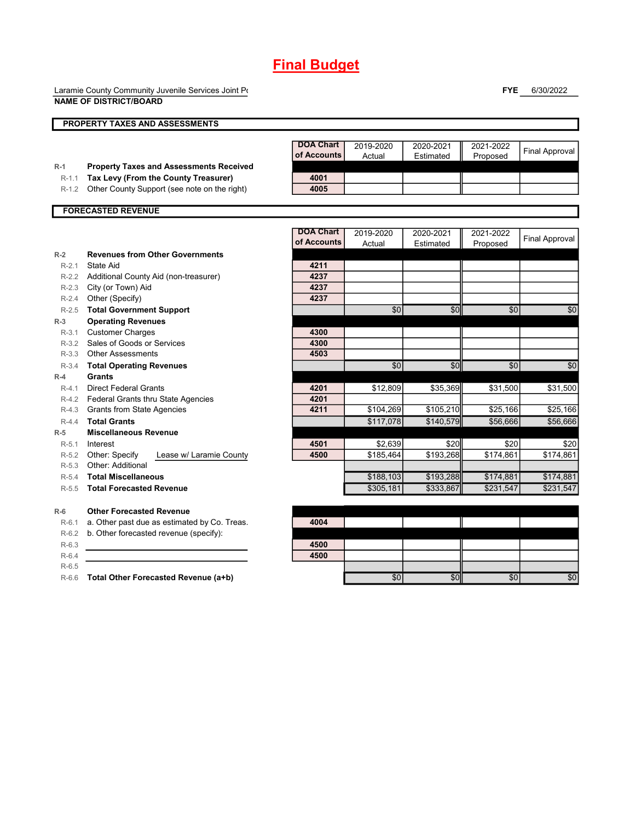Laramie County Community Juvenile Services Joint Power **NAME OF DISTRICT/BOARD**

**FYE** 6/30/2022

|                    | <b>NAME OF DISTRICT/BOARD</b>                                                        |                                 |                     |                        |                       |                       |
|--------------------|--------------------------------------------------------------------------------------|---------------------------------|---------------------|------------------------|-----------------------|-----------------------|
|                    | PROPERTY TAXES AND ASSESSMENTS                                                       |                                 |                     |                        |                       |                       |
|                    |                                                                                      | <b>DOA Chart</b><br>of Accounts | 2019-2020<br>Actual | 2020-2021<br>Estimated | 2021-2022<br>Proposed | <b>Final Approval</b> |
| $R-1$              | <b>Property Taxes and Assessments Received</b>                                       |                                 |                     |                        |                       |                       |
| $R-1.1$<br>$R-1.2$ | Tax Levy (From the County Treasurer)<br>Other County Support (see note on the right) | 4001<br>4005                    |                     |                        |                       |                       |
|                    |                                                                                      |                                 |                     |                        |                       |                       |
|                    | <b>FORECASTED REVENUE</b>                                                            |                                 |                     |                        |                       |                       |
|                    |                                                                                      | <b>DOA Chart</b>                | 2019-2020           | 2020-2021              | 2021-2022             |                       |
|                    |                                                                                      | of Accounts                     | Actual              | Estimated              | Proposed              | <b>Final Approval</b> |
| $R-2$              | <b>Revenues from Other Governments</b>                                               |                                 |                     |                        |                       |                       |
| $R-2.1$            | <b>State Aid</b>                                                                     | 4211                            |                     |                        |                       |                       |
|                    | R-2.2 Additional County Aid (non-treasurer)                                          | 4237                            |                     |                        |                       |                       |
| $R-2.3$            | City (or Town) Aid                                                                   | 4237                            |                     |                        |                       |                       |
| $R-2.4$            | Other (Specify)                                                                      | 4237                            |                     |                        |                       |                       |
| $R - 2.5$          | <b>Total Government Support</b>                                                      |                                 | \$0                 | \$0                    | \$0                   | \$0                   |
| $R-3$              | <b>Operating Revenues</b>                                                            |                                 |                     |                        |                       |                       |
| $R-3.1$            | <b>Customer Charges</b>                                                              | 4300                            |                     |                        |                       |                       |
| $R-3.2$            | Sales of Goods or Services                                                           | 4300                            |                     |                        |                       |                       |
| $R-3.3$            | <b>Other Assessments</b>                                                             | 4503                            |                     |                        |                       |                       |
| $R-3.4$            | <b>Total Operating Revenues</b>                                                      |                                 | \$0                 | \$0                    | \$0                   | \$0                   |
| $R-4$              | <b>Grants</b>                                                                        |                                 |                     |                        |                       |                       |
| $R-4.1$            | <b>Direct Federal Grants</b>                                                         | 4201                            | \$12,809            | \$35,369               | \$31,500              | \$31,500              |
|                    | R-4.2 Federal Grants thru State Agencies                                             | 4201                            |                     |                        |                       |                       |
| R-4.3              | <b>Grants from State Agencies</b>                                                    | 4211                            | \$104,269           | \$105,210              | \$25,166              | \$25,166              |
| $R-4.4$            | <b>Total Grants</b>                                                                  |                                 | \$117,078           | \$140,579              | \$56,666              | \$56,666              |
| $R-5$              | <b>Miscellaneous Revenue</b>                                                         |                                 |                     |                        |                       |                       |
| $R-5.1$            | Interest                                                                             | 4501                            | \$2,639             | \$20                   | \$20                  | \$20                  |
| $R-5.2$            | Other: Specify<br>Lease w/ Laramie County                                            | 4500                            | \$185,464           | \$193.268              | \$174,861             | \$174,861             |
| $R-5.3$            | Other: Additional                                                                    |                                 |                     |                        |                       |                       |
| $R-5.4$            | <b>Total Miscellaneous</b>                                                           |                                 | \$188,103           | \$193,288              | \$174,881             | \$174,881             |
| $R-5.5$            | <b>Total Forecasted Revenue</b>                                                      |                                 | \$305,181           | \$333,867              | \$231,547             | \$231,547             |
| $R-6$              | <b>Other Forecasted Revenue</b>                                                      |                                 |                     |                        |                       |                       |
| $R-6.1$            | a. Other past due as estimated by Co. Treas.                                         | 4004                            |                     |                        |                       |                       |
| $R-6.2$            | b. Other forecasted revenue (specify):                                               |                                 |                     |                        |                       |                       |
| $R-6.3$            |                                                                                      | 4500                            |                     |                        |                       |                       |
| $R-6.4$            |                                                                                      | 4500                            |                     |                        |                       |                       |

R-6.5

R-6.6 **Total Other Forecasted Revenue (a+b)** \$0 \$0 \$0 \$0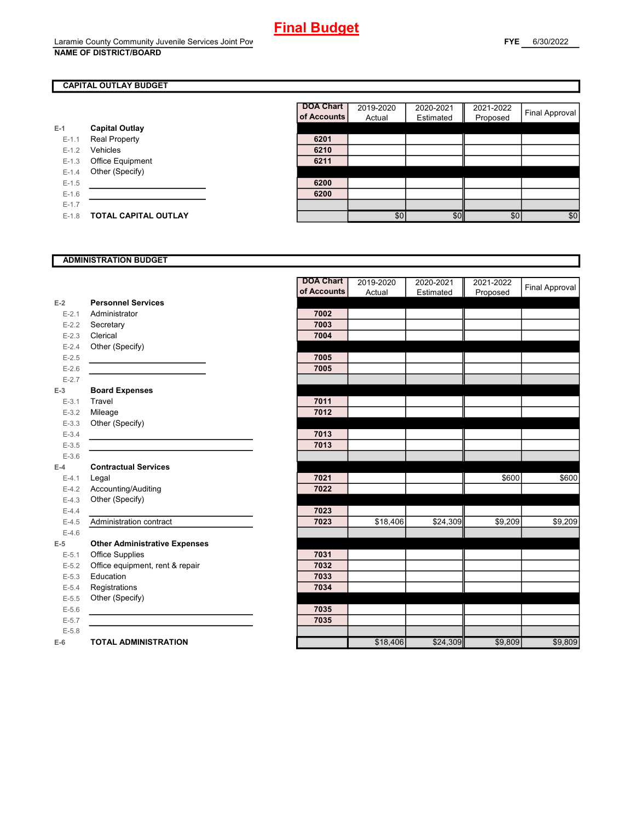### **CAPITAL OUTLAY BUDGET**

|           |                         | of Accou |
|-----------|-------------------------|----------|
| $E-1$     | <b>Capital Outlay</b>   |          |
| $E - 1.1$ | <b>Real Property</b>    | 6201     |
| $E - 1.2$ | Vehicles                | 6210     |
| $E - 1.3$ | <b>Office Equipment</b> | 6211     |
| $E - 1.4$ | Other (Specify)         |          |
| $E-1.5$   |                         | 6200     |
| $E - 1.6$ |                         | 6200     |
| $E - 1.7$ |                         |          |
| $E-1.8$   | TOTAL CAPITAL OUTLAY    |          |

| <b>DOA Chart</b><br>of Accounts | 2019-2020<br>Actual | 2020-2021<br>Estimated | 2021-2022<br>Proposed | <b>Final Approval</b> |
|---------------------------------|---------------------|------------------------|-----------------------|-----------------------|
|                                 |                     |                        |                       |                       |
| 6201                            |                     |                        |                       |                       |
| 6210                            |                     |                        |                       |                       |
| 6211                            |                     |                        |                       |                       |
|                                 |                     |                        |                       |                       |
| 6200                            |                     |                        |                       |                       |
| 6200                            |                     |                        |                       |                       |
|                                 |                     |                        |                       |                       |
|                                 | \$0                 | \$0                    | \$0                   | \$0                   |

#### **ADMINISTRATION BUDGET**

|           |                                      | <b>DOA Chart</b> | 2019-2020 | 2020-2021 | 2021-2022 |                |
|-----------|--------------------------------------|------------------|-----------|-----------|-----------|----------------|
|           |                                      | of Accounts      | Actual    | Estimated | Proposed  | Final Approval |
| $E-2$     | <b>Personnel Services</b>            |                  |           |           |           |                |
| $E - 2.1$ | Administrator                        | 7002             |           |           |           |                |
| $E - 2.2$ | Secretary                            | 7003             |           |           |           |                |
| $E - 2.3$ | Clerical                             | 7004             |           |           |           |                |
| $E - 2.4$ | Other (Specify)                      |                  |           |           |           |                |
| $E-2.5$   |                                      | 7005             |           |           |           |                |
| $E - 2.6$ |                                      | 7005             |           |           |           |                |
| $E - 2.7$ |                                      |                  |           |           |           |                |
| $E-3$     | <b>Board Expenses</b>                |                  |           |           |           |                |
| $E - 3.1$ | Travel                               | 7011             |           |           |           |                |
| $E - 3.2$ | Mileage                              | 7012             |           |           |           |                |
| $E - 3.3$ | Other (Specify)                      |                  |           |           |           |                |
| $E - 3.4$ |                                      | 7013             |           |           |           |                |
| $E - 3.5$ |                                      | 7013             |           |           |           |                |
| $E - 3.6$ |                                      |                  |           |           |           |                |
| $E-4$     | <b>Contractual Services</b>          |                  |           |           |           |                |
| $E - 4.1$ | Legal                                | 7021             |           |           | \$600     | \$600          |
| $E-4.2$   | Accounting/Auditing                  | 7022             |           |           |           |                |
| $E-4.3$   | Other (Specify)                      |                  |           |           |           |                |
| $E-4.4$   |                                      | 7023             |           |           |           |                |
| $E-4.5$   | Administration contract              | 7023             | \$18,406  | \$24,309  | \$9,209   | \$9,209        |
| $E-4.6$   |                                      |                  |           |           |           |                |
| $E-5$     | <b>Other Administrative Expenses</b> |                  |           |           |           |                |
| $E - 5.1$ | Office Supplies                      | 7031             |           |           |           |                |
| $E-5.2$   | Office equipment, rent & repair      | 7032             |           |           |           |                |
| $E-5.3$   | Education                            | 7033             |           |           |           |                |
| $E - 5.4$ | Registrations                        | 7034             |           |           |           |                |
| $E-5.5$   | Other (Specify)                      |                  |           |           |           |                |
| $E-5.6$   |                                      | 7035             |           |           |           |                |
| $E - 5.7$ |                                      | 7035             |           |           |           |                |
| $E - 5.8$ |                                      |                  |           |           |           |                |
| $E-6$     | <b>TOTAL ADMINISTRATION</b>          |                  | \$18,406  | \$24,309  | \$9,809   | \$9,809        |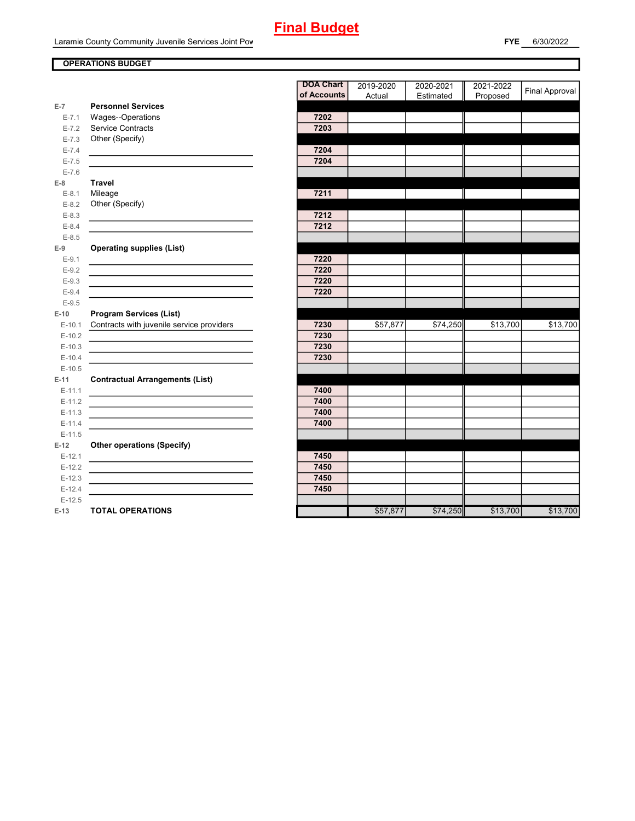#### **OPERATIONS BUDGET**

|           |                                                                                           | <b>DOA Chart</b> | 2019-2020 | 2020-2021 | 2021-2022 |                       |
|-----------|-------------------------------------------------------------------------------------------|------------------|-----------|-----------|-----------|-----------------------|
|           |                                                                                           | of Accounts      | Actual    | Estimated | Proposed  | <b>Final Approval</b> |
| $E-7$     | <b>Personnel Services</b>                                                                 |                  |           |           |           |                       |
| $E - 7.1$ | Wages--Operations                                                                         | 7202             |           |           |           |                       |
| $E - 7.2$ | Service Contracts                                                                         | 7203             |           |           |           |                       |
| $E - 7.3$ | Other (Specify)                                                                           |                  |           |           |           |                       |
| $E - 7.4$ |                                                                                           | 7204             |           |           |           |                       |
| $E - 7.5$ |                                                                                           | 7204             |           |           |           |                       |
| $E - 7.6$ |                                                                                           |                  |           |           |           |                       |
| $E-8$     | <b>Travel</b>                                                                             |                  |           |           |           |                       |
| $E-8.1$   | Mileage                                                                                   | 7211             |           |           |           |                       |
| $E - 8.2$ | Other (Specify)                                                                           |                  |           |           |           |                       |
| $E-8.3$   |                                                                                           | 7212             |           |           |           |                       |
| $E - 8.4$ | the control of the control of the control of the control of the control of the control of | 7212             |           |           |           |                       |
| $E - 8.5$ |                                                                                           |                  |           |           |           |                       |
| $E-9$     | <b>Operating supplies (List)</b>                                                          |                  |           |           |           |                       |
| $E-9.1$   | <u> 1980 - Johann Barnett, fransk politik (</u>                                           | 7220             |           |           |           |                       |
| $E-9.2$   |                                                                                           | 7220             |           |           |           |                       |
| $E-9.3$   |                                                                                           | 7220             |           |           |           |                       |
| $E - 9.4$ |                                                                                           | 7220             |           |           |           |                       |
| $E-9.5$   |                                                                                           |                  |           |           |           |                       |
| $E-10$    | <b>Program Services (List)</b>                                                            |                  |           |           |           |                       |
| $E-10.1$  | Contracts with juvenile service providers                                                 | 7230             | \$57,877  | \$74,250  | \$13,700  | \$13,700              |
| $E-10.2$  |                                                                                           | 7230             |           |           |           |                       |
| $E-10.3$  |                                                                                           | 7230             |           |           |           |                       |
| $E-10.4$  |                                                                                           | 7230             |           |           |           |                       |
| $E-10.5$  |                                                                                           |                  |           |           |           |                       |
| $E-11$    | <b>Contractual Arrangements (List)</b>                                                    |                  |           |           |           |                       |
| $E-11.1$  |                                                                                           | 7400             |           |           |           |                       |
| $E-11.2$  |                                                                                           | 7400             |           |           |           |                       |
| $E-11.3$  |                                                                                           | 7400             |           |           |           |                       |
| $E-11.4$  |                                                                                           | 7400             |           |           |           |                       |
| $E-11.5$  |                                                                                           |                  |           |           |           |                       |
| $E-12$    | <b>Other operations (Specify)</b>                                                         |                  |           |           |           |                       |
| $E-12.1$  |                                                                                           | 7450             |           |           |           |                       |
| $E-12.2$  |                                                                                           | 7450             |           |           |           |                       |
| $E-12.3$  |                                                                                           | 7450             |           |           |           |                       |
| $E-12.4$  |                                                                                           | 7450             |           |           |           |                       |
| $E-12.5$  |                                                                                           |                  |           |           |           |                       |
| $E-13$    | <b>TOTAL OPERATIONS</b>                                                                   |                  | \$57,877  | \$74,250  | \$13,700  | \$13,700              |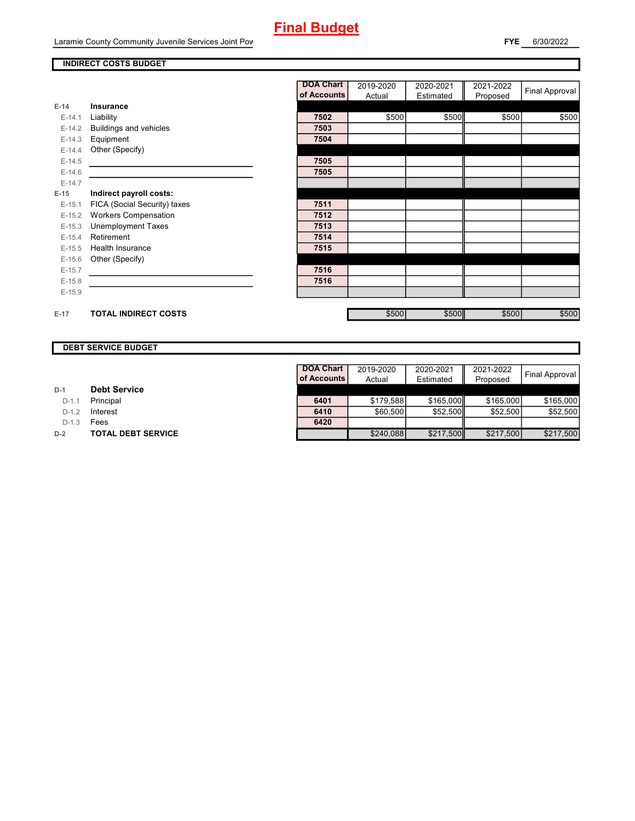#### **INDIRECT COSTS BUDGET**

|          |                              | <b>DOA Chart</b> | 2019-2020 | 2020-2021 | 2021-2022 | <b>Final Approval</b> |
|----------|------------------------------|------------------|-----------|-----------|-----------|-----------------------|
|          |                              | of Accounts      | Actual    | Estimated | Proposed  |                       |
| $E-14$   | <b>Insurance</b>             |                  |           |           |           |                       |
| $E-14.1$ | Liability                    | 7502             | \$500     | \$500     | \$500     | \$500                 |
| $E-14.2$ | Buildings and vehicles       | 7503             |           |           |           |                       |
| $E-14.3$ | Equipment                    | 7504             |           |           |           |                       |
| $E-14.4$ | Other (Specify)              |                  |           |           |           |                       |
| $E-14.5$ |                              | 7505             |           |           |           |                       |
| $E-14.6$ |                              | 7505             |           |           |           |                       |
| $E-14.7$ |                              |                  |           |           |           |                       |
| $E-15$   | Indirect payroll costs:      |                  |           |           |           |                       |
| $E-15.1$ | FICA (Social Security) taxes | 7511             |           |           |           |                       |
| $E-15.2$ | <b>Workers Compensation</b>  | 7512             |           |           |           |                       |
| $E-15.3$ | <b>Unemployment Taxes</b>    | 7513             |           |           |           |                       |
| $E-15.4$ | Retirement                   | 7514             |           |           |           |                       |
| $E-15.5$ | Health Insurance             | 7515             |           |           |           |                       |
| $E-15.6$ | Other (Specify)              |                  |           |           |           |                       |
| $E-15.7$ |                              | 7516             |           |           |           |                       |
| $E-15.8$ |                              | 7516             |           |           |           |                       |
| $E-15.9$ |                              |                  |           |           |           |                       |
|          |                              |                  |           |           |           |                       |
| $E-17$   | <b>TOTAL INDIRECT COSTS</b>  |                  | \$500     | \$500     | \$500     | \$500                 |

### **DEBT SERVICE BUDGET**

| D-1 |  | <b>Debt Service</b> |  |
|-----|--|---------------------|--|
|-----|--|---------------------|--|

D-1.1 **Principal** 

**D-1.2 Interest** 

D-1.3 **Fees** 

Г

**D-2 TOTAL DEBT SERVICE** 

| <b>DOA Chart</b> | 2019-2020 | 2020-2021 | 2021-2022 | <b>Final Approval</b> |
|------------------|-----------|-----------|-----------|-----------------------|
| of Accounts      | Actual    | Estimated | Proposed  |                       |
|                  |           |           |           |                       |
| 6401             | \$179.588 | \$165,000 | \$165,000 | \$165,000             |
| 6410             | \$60,500  | \$52,500  | \$52,500  | \$52.500              |
| 6420             |           |           |           |                       |
|                  | \$240,088 | \$217,500 | \$217,500 | \$217,500             |